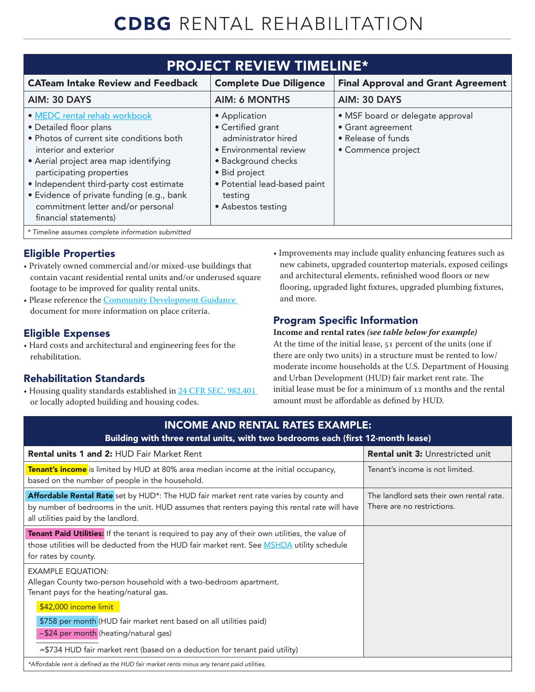# CDBG RENTAL REHABILITATION

| <b>PROJECT REVIEW TIMELINE*</b>                                                                                                                                                                                                                                                                                                                        |                                                                                                                                                                                              |                                                                                                   |  |
|--------------------------------------------------------------------------------------------------------------------------------------------------------------------------------------------------------------------------------------------------------------------------------------------------------------------------------------------------------|----------------------------------------------------------------------------------------------------------------------------------------------------------------------------------------------|---------------------------------------------------------------------------------------------------|--|
| <b>CATeam Intake Review and Feedback</b>                                                                                                                                                                                                                                                                                                               | <b>Complete Due Diligence</b>                                                                                                                                                                | <b>Final Approval and Grant Agreement</b>                                                         |  |
| AIM: 30 DAYS                                                                                                                                                                                                                                                                                                                                           | <b>AIM: 6 MONTHS</b>                                                                                                                                                                         | AIM: 30 DAYS                                                                                      |  |
| • MEDC rental rehab workbook<br>• Detailed floor plans<br>• Photos of current site conditions both<br>interior and exterior<br>• Aerial project area map identifying<br>participating properties<br>• Independent third-party cost estimate<br>• Evidence of private funding (e.g., bank<br>commitment letter and/or personal<br>financial statements) | • Application<br>• Certified grant<br>administrator hired<br>• Environmental review<br>· Background checks<br>• Bid project<br>• Potential lead-based paint<br>testing<br>• Asbestos testing | · MSF board or delegate approval<br>• Grant agreement<br>• Release of funds<br>• Commence project |  |
| * Timeline assumes complete information submitted                                                                                                                                                                                                                                                                                                      |                                                                                                                                                                                              |                                                                                                   |  |

# Eligible Properties

- Privately owned commercial and/or mixed-use buildings that contain vacant residential rental units and/or underused square footage to be improved for quality rental units.
- Please reference the [Community Development Guidance](https://www.miplace.org/globalassets/media-documents/placemaking/community-development-guidance/cd_guidance.pdf) document for more information on place criteria.

## Eligible Expenses

• Hard costs and architectural and engineering fees for the rehabilitation.

## Rehabilitation Standards

• Housing quality standards established in [24 CFR SEC. 982.401](https://www.govinfo.gov/content/pkg/CFR-2010-title24-vol4/pdf/CFR-2010-title24-vol4-sec982-401.pdf) or locally adopted building and housing codes.

• Improvements may include quality enhancing features such as new cabinets, upgraded countertop materials, exposed ceilings and architectural elements, refinished wood floors or new flooring, upgraded light fixtures, upgraded plumbing fixtures, and more.

# Program Specific Information

## **Income and rental rates** *(see table below for example)*

At the time of the initial lease, 51 percent of the units (one if there are only two units) in a structure must be rented to low/ moderate income households at the U.S. Department of Housing and Urban Development (HUD) fair market rent rate. The initial lease must be for a minimum of 12 months and the rental amount must be affordable as defined by HUD.

| <b>INCOME AND RENTAL RATES EXAMPLE:</b><br>Building with three rental units, with two bedrooms each (first 12-month lease)                                                                                                     |                                                                        |  |  |
|--------------------------------------------------------------------------------------------------------------------------------------------------------------------------------------------------------------------------------|------------------------------------------------------------------------|--|--|
| <b>Rental units 1 and 2: HUD Fair Market Rent</b>                                                                                                                                                                              | <b>Rental unit 3: Unrestricted unit</b>                                |  |  |
| Tenant's income is limited by HUD at 80% area median income at the initial occupancy,<br>based on the number of people in the household.                                                                                       | Tenant's income is not limited.                                        |  |  |
| Affordable Rental Rate set by HUD*: The HUD fair market rent rate varies by county and<br>by number of bedrooms in the unit. HUD assumes that renters paying this rental rate will have<br>all utilities paid by the landlord. | The landlord sets their own rental rate.<br>There are no restrictions. |  |  |
| Tenant Paid Utilities: If the tenant is required to pay any of their own utilities, the value of<br>those utilities will be deducted from the HUD fair market rent. See MSHDA utility schedule<br>for rates by county.         |                                                                        |  |  |
| <b>EXAMPLE EQUATION:</b><br>Allegan County two-person household with a two-bedroom apartment.<br>Tenant pays for the heating/natural gas.                                                                                      |                                                                        |  |  |
| \$42,000 income limit                                                                                                                                                                                                          |                                                                        |  |  |
| \$758 per month (HUD fair market rent based on all utilities paid)                                                                                                                                                             |                                                                        |  |  |
| -\$24 per month (heating/natural gas)<br>$= $734$ HUD fair market rent (based on a deduction for tenant paid utility)                                                                                                          |                                                                        |  |  |
| *Affordable rent is defined as the HUD fair market rents minus any tenant paid utilities.                                                                                                                                      |                                                                        |  |  |